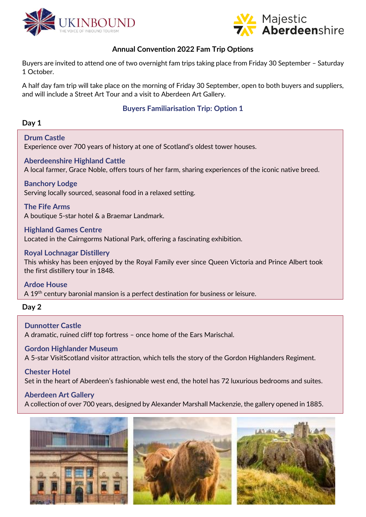



# **Annual Convention 2022 Fam Trip Options**

Buyers are invited to attend one of two overnight fam trips taking place from Friday 30 September – Saturday 1 October.

A half day fam trip will take place on the morning of Friday 30 September, open to both buyers and suppliers, and will include a Street Art Tour and a visit to Aberdeen Art Gallery.

# **Buyers Familiarisation Trip: Option 1**

# **Day 1**

**Drum Castle** Experience over 700 years of history at one of Scotland's oldest tower houses.

**Aberdeenshire Highland Cattle** A local farmer, Grace Noble, offers tours of her farm, sharing experiences of the iconic native breed.

# **Banchory Lodge**

Serving locally sourced, seasonal food in a relaxed setting.

**The Fife Arms** A boutique 5-star hotel & a Braemar Landmark.

**Highland Games Centre** Located in the Cairngorms National Park, offering a fascinating exhibition.

### **Royal Lochnagar Distillery**

This whisky has been enjoyed by the Royal Family ever since Queen Victoria and Prince Albert took the first distillery tour in 1848.

**Ardoe House** A 19<sup>th</sup> century baronial mansion is a perfect destination for business or leisure.

### **Day 2**

**Dunnotter Castle** A dramatic, ruined cliff top fortress – once home of the Ears Marischal.

### **Gordon Highlander Museum**

A 5-star VisitScotland visitor attraction, which tells the story of the Gordon Highlanders Regiment.

# **Chester Hotel**

Set in the heart of Aberdeen's fashionable west end, the hotel has 72 luxurious bedrooms and suites.

### **Aberdeen Art Gallery**

A collection of over 700 years, designed by Alexander Marshall Mackenzie, the gallery opened in 1885.